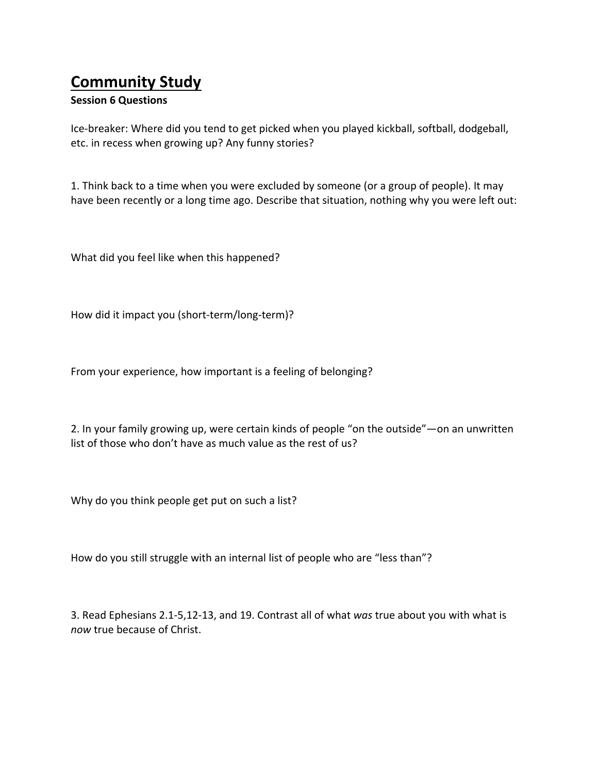## **Community Study**

## **Session 6 Questions**

Ice-breaker: Where did you tend to get picked when you played kickball, softball, dodgeball, etc. in recess when growing up? Any funny stories?

1. Think back to a time when you were excluded by someone (or a group of people). It may have been recently or a long time ago. Describe that situation, nothing why you were left out:

What did you feel like when this happened?

How did it impact you (short-term/long-term)?

From your experience, how important is a feeling of belonging?

2. In your family growing up, were certain kinds of people "on the outside"—on an unwritten list of those who don't have as much value as the rest of us?

Why do you think people get put on such a list?

How do you still struggle with an internal list of people who are "less than"?

3. Read Ephesians 2.1-5,12-13, and 19. Contrast all of what was true about you with what is now true because of Christ.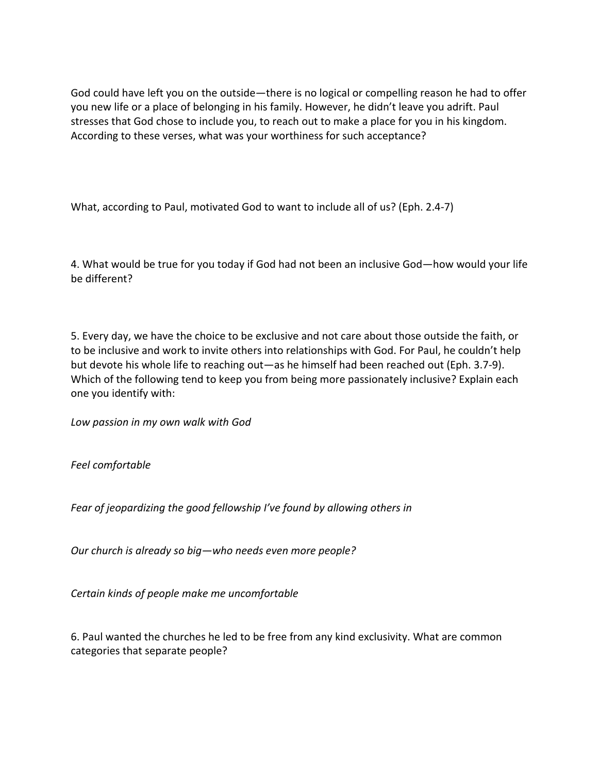God could have left you on the outside—there is no logical or compelling reason he had to offer you new life or a place of belonging in his family. However, he didn't leave you adrift. Paul stresses that God chose to include you, to reach out to make a place for you in his kingdom. According to these verses, what was your worthiness for such acceptance?

What, according to Paul, motivated God to want to include all of us? (Eph. 2.4-7)

4. What would be true for you today if God had not been an inclusive God—how would your life be different?

5. Every day, we have the choice to be exclusive and not care about those outside the faith, or to be inclusive and work to invite others into relationships with God. For Paul, he couldn't help but devote his whole life to reaching out—as he himself had been reached out (Eph. 3.7-9). Which of the following tend to keep you from being more passionately inclusive? Explain each one you identify with:

Low passion in my own walk with God

*Feel comfortable* 

Fear of jeopardizing the good fellowship I've found by allowing others in

Our church is already so big-who needs even more people?

*Certain kinds of people make me uncomfortable*

6. Paul wanted the churches he led to be free from any kind exclusivity. What are common categories that separate people?